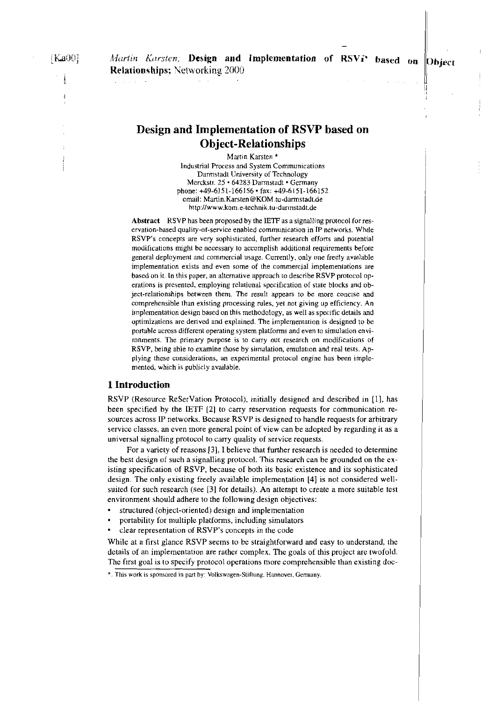## *Martin Karsten: Design and Implementation of RSVi' based on Object* Relationships: Networking 2000

IJ

# **Design and Implementation of RSVP based on**

**Object-Relationships**  Martin Karsten ' lndustrial Process and System Communicationr Darmstadt University of Technology Merckstr. 25 ' **H283** Darmstadt ' Germany phone: +49-6151.166156- **fax:** +49-6151-166152 email: **Martin.Karsten@KOM.tu-darmstadt.de**  http://www.kom.e-technik.tu-darinstadt.de

Abstract RSVP has been proposed by the lETF as a signalling protocoi for reservation-based quality-of-service enabled communication in IP networks. While RSVP's concepts are very sophisticated, further research efforts and potential modifications might be necessary to accomplish additional requirements before general deployment and commercial usage. Currently, only one freely available implementation exists and even some af the commercial implemenlations are based on it. In this paper, an alternative approach to describe RSVP protocol operations is presented, employing relationai specification of state blocks and object-relationships between them. The result appears to be more concise and comprehensible than existing processing mies, yet not giving up efficiency. An implementation design based on this methodology, as well as specific details and optimizations are derived and explained. The implementation is designed to be portable across different operating system platforms and even to simulation environments. The primary purpose is to carry out research on modifications of RSVP, being able to examine those by simulation, emulation and real tests. Appiying these considerations, an experimental protocol engine has been implemented, which is publicly availabie.

#### **1 Introduction**

RSVP (Resource ReSerVation Protocol), initially designed and described in [1], has been specified by the IETF **[2]** to carry reservation requests for communication resources across IP networks. Because RSVP is designed to handle requests for arbitrary service classes, an even more general point of view can be adopted by regarding it as a universal signalling protocol 10 camy quality of service requests.

For a variety of reasons [3], I believe that further research is needed to determine the best design of such a signalling protocol. This research can be grounded on the existing specification of RSVP, because of both its basic existence and its sophisticated design. The only existing freely available implementation [4] is not considered wellsuiled for such research (See **[3]** for details). An attempt to create a more suitable test environment should adhere to the following design objectives:

- structured (object-oriented) design and implementation
- portability for multiple platforms, including simulators
- clear representation of RSVP's concepts in the code

While at a first glance RSVP seems to be straightforward and easy to understand, the details of an implementation are rather complex. The goals of this project are twofold. The first goal is to specify protocol operaiions more comprehensible than existing doc-

<sup>\*.</sup> This work is sponsored in part by: Volkswagen-Stiftung, Hannover, Germany.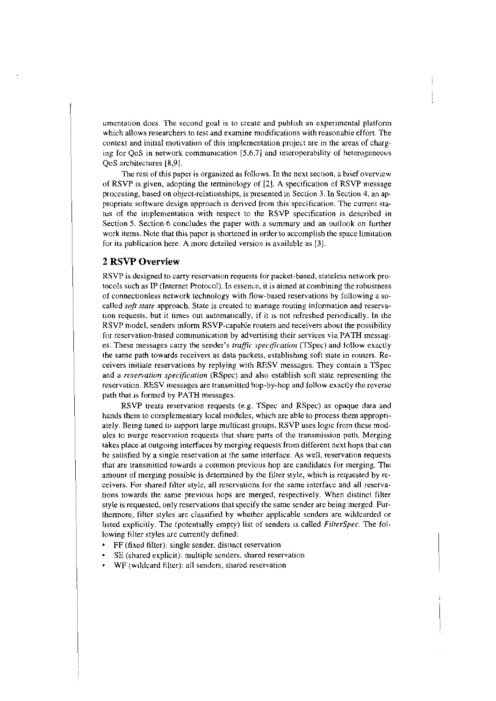umentarion does. The second goal is 10 create and publish an experimental platform which allows researchers to test and examine modificaiions wiih reasonahle effort. The context and initial motivation of this implementation project are in the areas of charging for QoS in network communication *[5,6.7]* and interoperability of heterogeneous QoS architectures [8,9].

The rest of this paper is organized as follows. In ihe next secrion, a brief overview of RSVP is given, adopting the terminology of **[2].** A specification of RSVP niessage processing, based on object-relationships, is presented in Section 3. In Section 4, an appropriate Software design approach is derived from this specification. The current status of the implementation with respect to the RSVP specification is described in Section *5.* Section *6* concludes the paper with a Summary and an outlook on further work items. Note that this paper is shortened in order to accomplish the space limitation for its publication here. A more detailed version is available as **[3].** 

#### **2 RSVP Overview**

RSVP is designed to carry reservation requests for packet-based, stateless network protocols such as IP (Intemet Protocol). In essence, it is aimed at combining the robustness of connectionless network technology wiih flow-based reservations by following a socalled *soft state* approach. State is created to manage routing information and reservation requests, but it times out automatically, if it is not refreshed periodically. In the RSVP model, senders inform RSVP-capable routers and receivers about the possibility for reservation-based communication by advertising their services via PATH messages. These messages carry the sender's *traffic specification* (TSpec) and follow exactly the Same path towards rcceivers as data packets, establishtng soft state in routers. Receivers initiate reservations hy replying with RESV messages. They contain a TSpec and a *reservation specification* (RSpec) and also establish soft state representing the reservation. RESV messages are transmitted hop-by-hop and follow exactly the reverse path that is fomed by PATH messages.

RSVP treats reservation requests (e.g. TSpec and RSpec) as opaque data and hands them to complementary local modules, which are able to process them appropriately. Being tuned to support large multicast groups, RSVP uses logic from these modules to nierge reservation requests that share parts of the transmission path. Merging takes place at outgoing interfaces by merging requests from different next hops that can be satisfied by a single reservation ai the same interface. As well, reservation requests thai are transmitted towards a common previous hop are candidates for merging. The amouni of merging possible is determined by the filter style, which is requested by receivers. For shared filter style, all reservations for the same interface and all reservations towards ihe same previous hops are merged, respectively. When distinct filter style is requested, only reservations that specify the Same sender are being merged. Furthermore, filter styles are classified by whether applicable senders are wildcarded or listed explicitly. The (potentially empty) list of senders is called *FilterSpec.* The following filter styles are currently defined:

- FF (fixed filter): single sender, distinct reservation
- SE (shared explicit): multiple senders, shared reservation
- WF (wildcard filter): all senders, shared reservation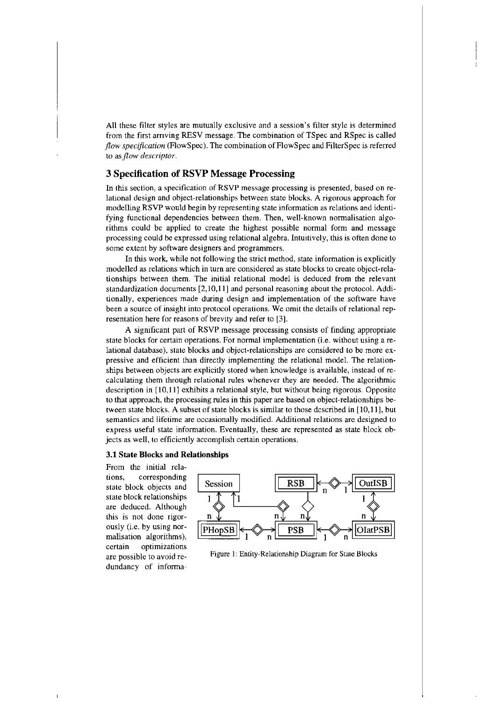All these filter styles are mutually exclusive and a session's filter style is determined from the first arriving RESV message. The combination of TSpec and RSpec is called *j'iow specificatioo* (FlowSpec). The combination of FlowSpec and FilterSpec is referred to as *flow descriptor*.

#### **3 Specification of RSVP Message Processing**

In this section, a specification of RSVP message processing is presented, based on relational design and object-relationships between state blocks. A rigorous approach for modelling RSVP would begin by representing state information as relations and identifying functional dependencies between them. Then, well-known normalisation algorithms could be applied to create the highest possible normal form and message processing could be expressed using relational algebra. Intuitively, this is often done to some extent by software designers and programmers.

In this work, while not following the strict method, state information is explicitly modelled as relations which in turn are considered as state blocks to create object-relationships between them. The initial relational model is deduced from the relevant standardization documents [2,10,1 I] and personal reasoning about the protocol. Additionally, experiences made during design and implementation of the software have been a source of insight into protocol operations. We omit the details of relational representation here for reasons of brevity and refer to [3].

A significant part of RSVP message processing consists of finding appropriate state blocks for certain operations. For normal implementation (i.e. without using a relational database). state blocks and object-relationships are considered to be more expressive and efficient than directly implementing the relational model. The relationships between objects are explicitly stored when knowledge is available, instead of recalculating them through relational rules whenever they are needed. The algorithmic description in [10,11] exhibits a relational style, but without being rigorous. Opposite to that approach, the processing mles in this paper are based on object-relationships between state blocks. A subset of state blocks is similar to those dcscribed in [10,11], but semantics and lifetime are occasionally modified. Additional relations are designed to express useful state information. Eventually, these are represented as state block objects as well, to efficiently accomplish certain operations.

#### **3.1 State Blocks and Relationships**

From the initial rela. tions, corresponding state block objects and state block relationships are deduced. Although this is not done rigor- n n n **n**  ously (i.e. by using normalisation algorithms),<br>certain optimizations optimizations dundancy of informa



are possible to avoid re-<br>Figure 1: Entity-Relationship Diagram for State Blocks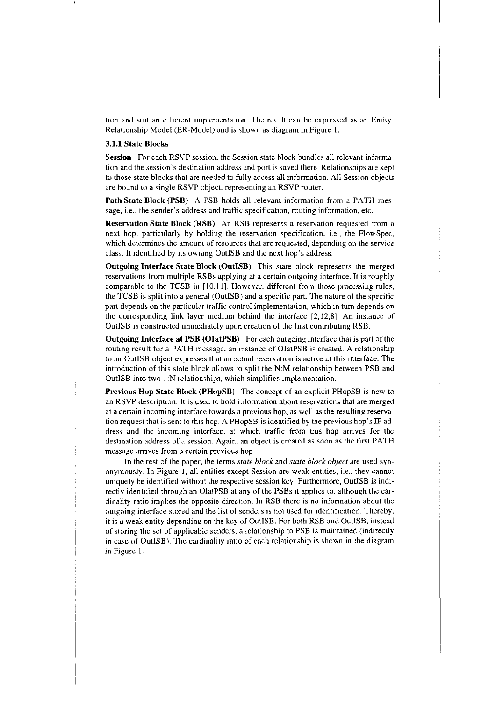tion and suit an efficient implementation. The result can be expressed as an Entity-Relationship Model (ER-Model) and is shown as diagram in Figure 1.

#### 3.1.1 State Blocks

Session For each RSVP session, the Session state block bundles all relevant information and the session's destination address and port is saved there. Relationships are kept to those state blocks that are needed to fully access all information. All Session objects are bound to a single RSVP object, representing an RSVP router.

Path State Block (PSB) A PSB holds all relevant information from a PATH message, i.e., the sender's address and traffic specification, routing information, etc.

**Reservation State Block (RSB)** An RSB represents a reservation requested from a next hop, particularly by holding the reservation specification, i.e., the FlowSpec, which determines the amount of resources that are requested, depending on the service class. It identified by its owning OutISB and the next hop's address.

Outgoing Interface State Block (OutISB) This state block represents the merged reservations from multiple RSBs applying at a certain outgoing interface. It is roughly comparable to the TCSB in [10,1 I]. However, different from those processing rules, the TCSB is split into a general (OutISB) and a specific part. The nature of the specific part depends on the particular traffic control implementation, which in turn depends on the corresponding link layer mcdium behind the interface [2,12,8]. An instance of OutISB is constructed immediately upon creation of the first contributing RSB.

Outgoing Interface at PSB (OIatPSB) For each outgoing interface that is part of the routing result for a PATH message, an instance of OIatPSB is created. **A** rrlationship to an OutISB object expresses that an actual reservation is active at this interface. The introduction of this state block allows to split the N:M relationship between PSB and OutISB into two l:N relationships, which simplifies implementation.

Previous Hop State Block (PHopSB) The concept of an explicit PHopSB is new to an RSVP description. I< is used to hold information about reservations that are merged at a certain incoming interface towards a previous hop, as well as the resulting reservation request that is sent to this hop. **A** PHopSB is identified by the prrvious hop's IP address and the incoming interface, at which traffic from this hop arrives for the destination address of a session. Again. an object is creaied as soon as the first PATH message arrives from a certain previous hop.

In the rest of the Paper, the terms **srare hlock** and **srare hlock ohjecr** are used synonymously. In Figure 1; all entities except Session are weak entities. i.e., they cannot uniquely be identified without the respective session key. Funhermore. OutISB is indirectly identified through an OlatPSB ai any of the PSBs it applies to, although the cardinality ratio implies ihe opposiie direciion. In RSB there is no information about the outgoing interface stored and the lisi of senders is not used for identification. Thereby, it is a weak entity depending on the key of OuilSB. For both RSB and OutlSB, instead of storing the set of applicable senders, a relationship to PSB is maintained (indirectly in case of OutlSB). The cardinality ratio of each rclationship is shown in rhe diagram in Figure 1.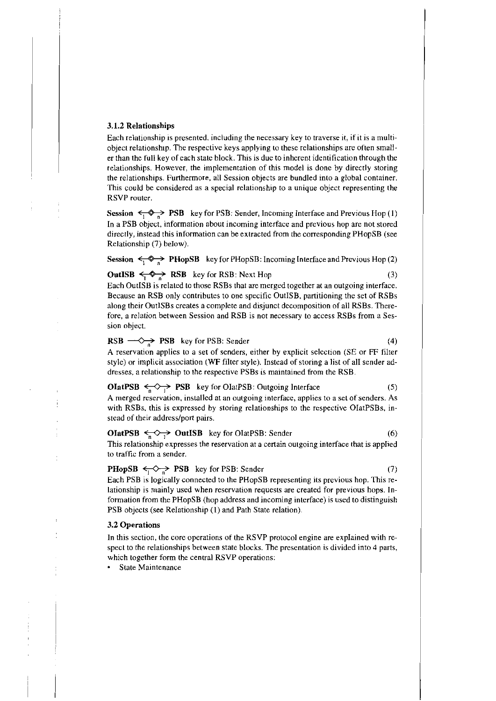#### 3.1.2 Relationships

Each relaiionship is presented. including the necessary key to traverse it, if it is a multiobjeci relationship. The respective keys applying to these relaiionships are often smaller than the full key of each state block. This is due to inherent identification through the relationships. However, the implementation of this model is done by directly storing the relationships. Furthermore, all Session objects are bundled into a global container. This could be considered as a special relationship to a unique object representing the RSVP router.

Session  $\leftarrow \rightarrow PSB$  key for PSB: Sender, Incoming Interface and Previous Hop (1) In a PSB object, infomation about incoming interface and previous hop are not stored direcily, instead this information can be exiracted from the corresponding PHopSB (see Relationship (7) below). Relationship (7) below).<br>Session  $\leftarrow \rightarrow P$ HopSB key for PHopSB: Incoming Interface and Previous Hop (2)

Session  $\leftarrow \rightarrow P$  **PHopSB** key for PHopSB: Incoming Interface and Previous Hop (2)<br> **OutISB**  $\leftarrow \rightarrow RSB$  **RSB** key for RSB: Next Hop (3)

Each OutISB is related to those RSBs that aremerged together at an outgoing interface. Because an RSB only contributes to one specific OutlSB, pattitioning the sei of RSBs along their OutlSBs creates a complete and disjunct decomposition of all RSBs. Therefore, a relation between Session and RSB is not necessary to access RSBs from a Session object.

#### $\text{RSB} \longrightarrow \longrightarrow \text{PSB}$  key for PSB: Sender (4)

A reservation applies to a set of senders, either by explicit selection (SE or FF filter style) or implicit association **(WF** filter style). Instead of storing a list of alI sender addresses. a relationship to the respective PSBs is maintained from the RSB

### **OIatPSB**  $\leftarrow$   $\Diamond \rightarrow$  **PSB** key for OIatPSB: Outgoing Interface (5)

A merged reservation, installed at an outgoing interface, applies to a set of senders. As with RSBs, this is expressed by storing relationships to the respective OIatPSBs, instead of their address/port pairs.

#### **OIatPSB**  $\leftarrow \rightarrow$  **OutISB** key for OIatPSB: Sender (6)

This relationship expresses the reservation at a certain outgoing interface that is applied to traffic from a sender.

#### **PHopSB**  $\leftarrow \rightarrow \rightarrow$  **PSB** key for PSB: Sender (7)

Each PSB is logically connected to ihc PHopSB representing its previous hop. This relationship is mainly used when reservation requests are created for previous hops. Information from the PHopSB (hop address and incoming interface) is used to distinguish PSB objects (see Relationship **(1)** and Path State reIation).

#### 3.2 Operations

In this section, the core operations of the RSVP protocoI engine are explained with respect to the relationships between state blocks. The presentation is divided into 4 parts, which together form the central RSVP operations:

State Maintenance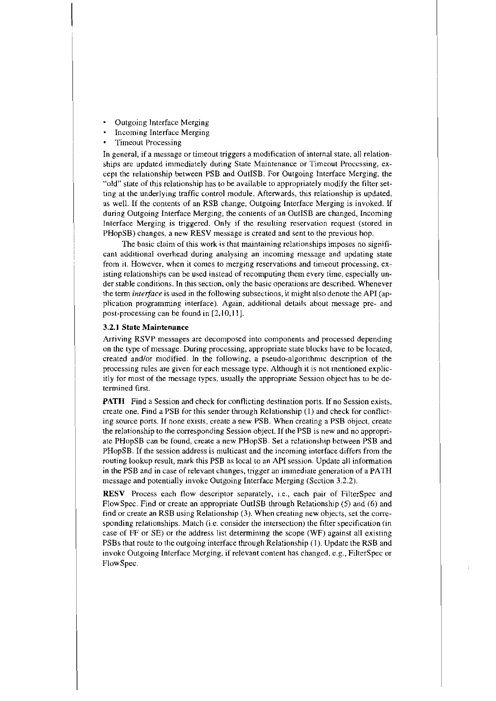- Outgoing Interface Merging
- Incoming Interface Merging
- Timeout Processing

In general, if a message or timeout triggers a modification of internal state, all relationships are updated immediately during State Maintenance or Timeout Proccssing, except the ielationship between PSB and OutISB. For Outgoing Interface Merging, the "old" state of this relationship has to be available to appropriately modify the filter setting at the underlying traffic control module. Aftenvards, this relationship is updated, as well. If the contents of an RSB change. Outgoing Interface Merging is invoked. If during Outgoing Interface Merging, the contents of an OutISB are changed, Incoming Interface Merging is triggered. Only if the resulting reservation request (stored in PHopSB) changes, a new RESV message is created and sent to the previous hop.

The basic claim of this work is that maintaining relationships imposes no signifi-Cant additional overhead during analysing an incoming message and updating state from it. However, when it comes to merging reservations and timeout processing, existing relationships can be used instead of recomputing them every time, especially under stable condirions. In this section, only the basic operations are described. Whenever the term *interjace* is used in the following subsecrions, it might also denote the API (application programming interface). Again, additional details about message pre- and post-processing can be found in [2,10,11].

#### **3.2.1 State Maintenance**

Arriving RSVP messages are decomposed into components and processed depending on the type of message. During processing, appropriate state blocks have to be located, created andlor modified. In the following, **a** pseudo-algorithmic description of the processing rules are given for each message type. Although it is not mentioned explicitly for most of the message types, usually the appropriate Session object has to be determined first.

**PATH** Find a Session and check for conflicting destination ports. If no Session exists, create one. Find a PSB for this sender through Relationship (1) and check for conflicting source ports. If none exisls, create a new PSB. When creating a PSB object, create the relationship to the corresponding Session object. If the PSB is new and no appropriate PHopSB can be found, create a new PHopSB. Set a relationship between PSB and PHopSB. If the session address is multicast and the incoming interface differs from the routing lookup result, mark this PSB as local to an API session. Update all information in the PSB and in case of relevant changes, trigger an immediate generation of a PATH message and potentially invoke Outgoing Interface Merging (Section 32.2).

RESV Process each flow descriptor separately, i.e., each pair of FilterSpec and FlowSpec. Find or create an appropriate OutISB through Relationship *(5)* and (6) and find or create an RSB using Relationship **(3).** When creating new objccrs, set the corresponding relationships. Match (i.e. consider the intersection) the filter specification (in case of **FE'** or SE) or the address list determining the scope (WF) against all existing PSBs that route to the outgoing interface through Relationship (I). Update the RSB and invoke Outgoing lnterface Merging, if relevant content has changed, e.g., FilierSpec or FlowSpec.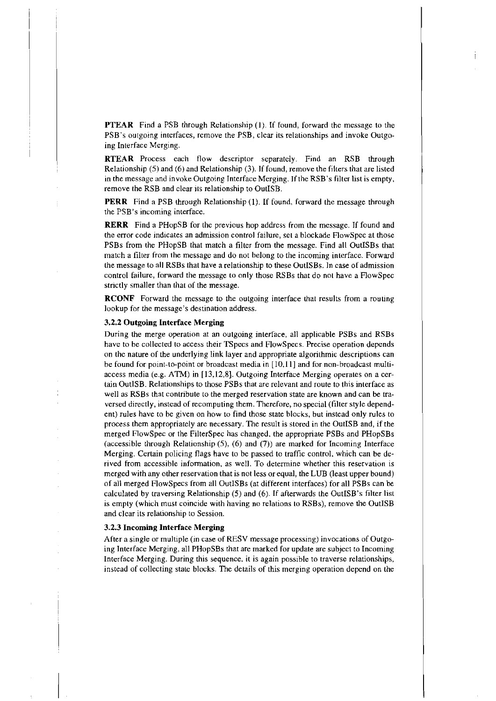PTEAR Find a PSB through Relationship (1). If found, forward the message to the PSB's outgoing interfaces, remove the PSB, clear its relationships and invoke Outgoing Interface Merging.

RTEAR Process each flow descriptor separately. Find an RSB through Relationship (5) and (6) and Relationship (3). If found, remove the filters that are listed in the message and invoke Ouigoing lnterface Merging. If the RSB's filter list is empty. remove the RSB and clear its relationship to OutISB.

PERR Find a PSB through Relationship (1). If found, forward the message through the PSB's incoming interface.

RERR Find a PHopSB for the previous hop address from the message. If found and the error code indicates an admission control failure, sei a blockade FlowSpec at those PSBs from the PHopSB that match a filter from the message. Find all OutISBs that match a filter from the message and do not belong to the incoming interface. Forward the message to all RSBs that have a relationship to these OutISBs. In case of admission control failure, forward the message to only those RSBs that do not have a FlowSpec strictly smaller than that of the message.

RCONF Forward the message to the outgoing interface that results from a routing lookup for the message's destination address.

#### **3.2.2** Outgoing Interface Merging

During the merge operation at an outgoing interface, all applicable PSBs and RSBs have to be collected io access their TSpecs and FlowSpecs. Precise operation depends on the nature of the underlying link layer and appropriate algorithmic descriptions can be found for point-10-point or broadcast media in [10,11] and for non-broadcast multiaccess media (e.g. **ATM)** in [13,12,8]. Outgoing Interface Merging operaies on a certain OutISB. Relationships to those PSBs that are relevant and route 10 this interface as well as RSBs that contribute to the merged reservation state are known and can be traversed directly. instead of recomputing them. Therefore, no Special (filter style dependent) rules have to be given on how to find those state blocks, but instead only rules to process them appropriately are necessary. The result is stored in the OutISB and, if the merged FlowSpec or the FilterSpec has changed, the appropriate PSBs and PHopSBs (accessible through Relationship (S), (6) and (7)) are marked for Incoming Interface Merging. Certain policing flags have to be passed to traffic control, which can be derived from accessible infonnation, as welI. To detemine whether this reservation is merged with any other reservation that is not less or equal, the LUB (least upper bound) of all merged FlowSpecs from all OutISBs (at different interfaces) for all PSBs can be calculated by traversing Relationship (5) and (6). If afterwards the OutISB's filter list is empty (which must coincide with having no relations to RSBs), remove the OutISB and cIear its relationship to Session.

#### **3.2.3** Incoming Interface Merging

After a single or multiple (in case of RESV message processing) invocations of Outgoing Interface Merging, all PHopSBs that are marked for update are subject to Incoming Interface Merging. During this sequence. it is again possible to traverse relationships, instead of collecting state blocks. The details of this merging operation depend on the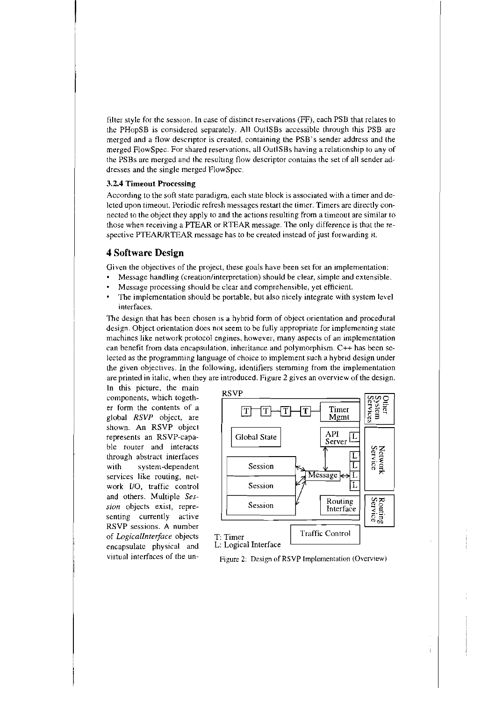filter style for the session. In case of distinct reservations (FF), each PSB that relates to the PHopSB is considered separately. All OutlSBs accessible through this PSB are merged and a flow descriptor is created, containing the PSB's sender address and the merged FlowSpec. For shared reservations, all OutlSBs having a relationship to any of the PSBs are merged and the resulting flow descriptor contains the Set of all sender addresses and the Single merged FlowSpec.

#### **3.2.4** Timeout Processing

According to the soft state paradigm, each state block is associated with a timer and deleted upon timeout. Periodic refresh messages restart the timer. Timers are directly connected to the object they apply to and the actions resulting from a timeout are similar to those when receiving a PTEAR or RTEAR message. The only difference is that the respective PTEAR/RTEAR message has to be created instead of just forwarding it.

#### **4 Software Design**

Given the objectives of the project, these goals have been set for an implementation:

- Message handling (creation/interpretation) should be clear, simple and extensible.
- Message processing should be clear and comprehensible, yet efficient.
- The implementation should be portable, but also nicely integrate with system level interfaces.

The design that has been chosen is a hybrid form of object orientation and procedural design. Object orientation does not seem tobe fully appropriate for implementing state machines like network protocol engines, however, many aspects of an implementation can benefit from data encapsulation, inheritance and polymorphism.  $C_{++}$  has been selected as the programniing language of choice to implement such a hybrid design under the given objectives. In the following, identifiers stemming from the implementation areprinted in italic, when they are introduced. Figure **2** gives an overview of the design.

In this picture, the main components, which together form the contents of a global RSVP object, are shown. An RSVP object represents an RSVP-capable router and interacts through abstract interfaces with system-dependent Services like routing, network VO. traffic control and others. MuItiple *Session* objects exist, repre-RSVP sessions. A number encapsulate phy sical and virtual interfaces of the un-



Figure 2: Design of RSVP Implementation (Overview)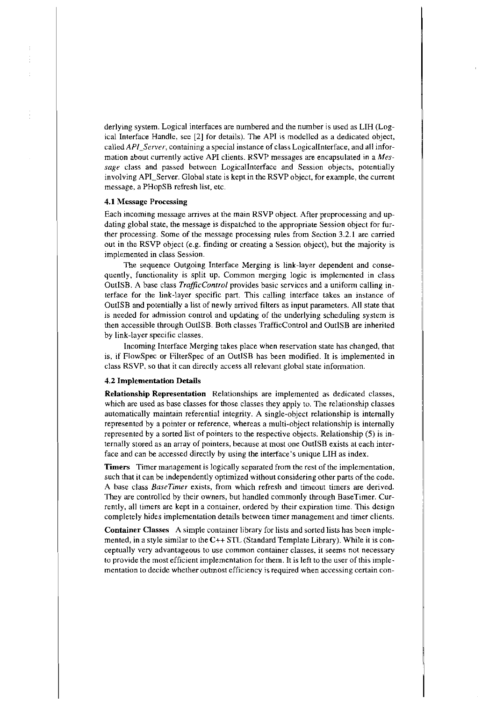derlying system. Logical interfaces are numbered and the number is used as LIH (Logical Interface Handle, see [2] for details). The API is modelled as a dedicated object, called API\_Server, containing a special instance of class LogicalInterface, and all information about currently active API clients. RSVP messages are encapsulated in a **Message** class and passed between LogicalInterface and Session objects. potentially involving APILServer. Global state is kept in the RSVP object. for example, the current message, a PHopSB refresh list. etc.

#### **4.1** Message Processing

Each incoming message arrives at the main RSVP object. After preprocessing and updating global state, the message is dispaiched to the appropriate Session object for further processing. Some of the message processing mles from Section 3.2.1 are carried out in the RSVP object (e.g. finding or creating a Session object), but the majority is implemented in class Session.

The sequence Outgoing Interface Merging is link-layer dependent and consequently, functionality is split up. Common merging logic is implemented in class OutISB. A base class *TrafficControl* provides basic services and a uniform calling interface for the link-layer specific part. This calling interface takes an instance of OutISB and potentially a list of newly arrived filters as input parameters. All state that is needed for admission control and updating of the underlying scheduling system is then accessible through OutISB. Both classes TrafficControl and OutISB are inherited by link-layer specific classes.

Incorning Interface Merging takes place when reservation state has changed, that is. if FlowSpec or FilterSpec of an OutlSB has been modified. It is implemented in class RSVP. so that it can directly access all relevant global state information.

#### 4.2 Implementation Details

Relationship Representation Relationships are implemented as dedicated classes, which are used as base classes for those classes they apply to. The relationship classes automatically maintain referential integrity. A single-object relationship is internally represented by a pointer or reference, whereas a multi-object relationship is internally represented by a sorted list of pointers to the respective objects. Relationship (5) is internally stored as an array of pointers, because at most one OutISB exists at each interface and can be accessed directly by using the interface's unique LIH as index.

Timers Timer management is logically separated from the rest of the implementation, such that it can be independently optimized without considering other parts of the code. A base class **BaseTimer** exists, from which refresh and timeout timers are derived. They are controlled by their owners, but handled commonIy through BaseTimer. Currently, all timers are kept in a container, ordered by their expiration time. This design completely hides implernentation details between timer management and timer clients.

Container Classes A simple container library for lists and sorted lists has been implemented, in a style similar to the  $C++$  STL (Standard Template Library). While it is conceptually very advantageous to use common container classes, it seems not necessary to provide the most efficient implementation for them. It is left to the user of this implernentation to decide whether outmost efficiency is required when accessing certain con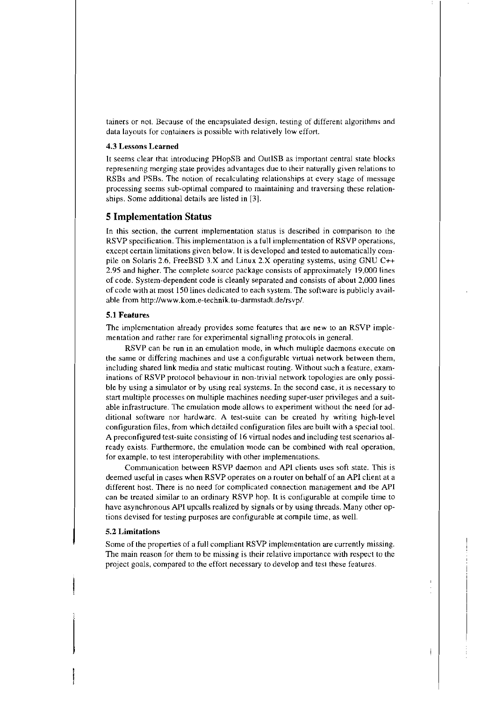tainers or not. Because of the encapsulated design, testing of different algorithms and data layouts for containers is possible with relatively low effort.

#### **4.3** Lessnns Learned

It seems clear that introducing PHopSB and OutlSB as importanl central state blocks representing merging state provides advantages due to rheir naturally given relations to RSBs and PSBs. The notion of recalculating relationships at every stage of message processing seems sub-optimal compared to maintaining and traversing these relationships. Some additional details arc listed in [3].

#### **5 Implementation Status**

In this section, the current implementation status is descrihed in comparison to the RSVP specification. This implementation is a full implementation of RSVP operations, except certain limitations given below. It is developed and tested to automatically compile on Solaris 2.6, FreeBSD 3.X 2nd Linux 2.X operating systems. using GNU *C++*  2.95 and higher. The complete source package consists of approximately 19,000 lines of code. System-dependent code is cleanly separated and consists of about 2.000 lines of code with at most 150 lines dedicared to each System. The software is publicly available from http://www.kom.e-technik.tu-darmstadt.de/rsvp/.

#### 5.1 Features

The implementation already provides some features that are new to an RSVP implementation and rather rare for experimental signalling protocols in general.

RSVP can be run in an emulation mode, in which multiple daemons execute on the same or differing machines and use a configurable virtual network between them, including shared link media and static multicast routing. Without such a feature, examinations of RSVP protocol behaviour in non-trivial network topologies are only possible by using a simulator or by using real systems. In the second case, it is necessary to start multiple processes on multiple machines needing super-user privileges and a suitable infrastructure. The emulation mode allows to experiment without the need for additional software nor hardware. A test-suite can be created hy writing high-level configuration files, from which detailed configuration files are built with a special tool. A preconfigured test-suite consisting of 16 virtual nodes and including test scenarios already exists. Furthermore, the emulation mode can be combined with real operation, for example, to test interoperability with other implementations.

Communication between RSVP daemon and API clients uses soft state. This is deemed useful in cases when RSVP operates on a router on behalf of an API client at a different host. There is no need for complicated connection management and tbe API can be treated similar to an ordinary RSVP hop. It is configurable at compile time to have asynchronous API upcalls realized by signals or by using threads. Many other options devised for resting purposes are configurable at compile time, as well.

#### 5.2 Limitations

Some of the properties of a full compliant RSVP implementation are currently missing. The main reason for them to be missing is their relative importance with respect to the project goals, compared to the effort necessary to develop and test these features.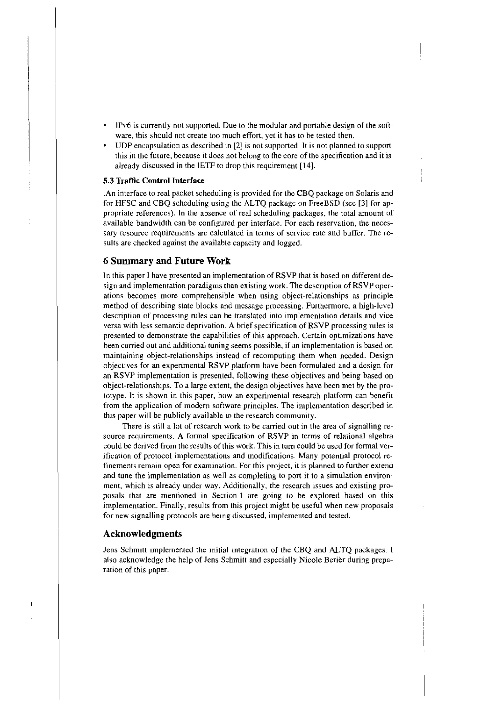- 1Pv6 is currently not supported. Due to the modular and portable design of the software, this should not create too much effort, yet it has to be tested then.
- UDP encapsulation as described in **[2]** is not supported. It is not planned to support this in the future, because it does not belong to the core of the specification and it is already discussed in the IETF to drop this requirement (141.

#### 5.3 Traffic Control Interiace

.An interface to real packet scheduling is provided for ihe CBQ package on Solaris and for HFSC and CBQ scheduling using the ALTQ package on FreeBSD (see **[3]** for appropriate references). In the absence of real scheduling packages, the total amount of available bandwidth can be configured per interface. For each reservation, the necessary resource requirements are calculated in terms of service rate and buffer. The results are checked against the available capacity and logged.

#### **6 Summary and Future Work**

In this paper I have presented an implementation of RSVP that is based on different design and implementation paradigms than existing work. The description of RSVP operations becomes more comprehensible when using object-relationships as principle method of descrihing state blocks and message processing. Furthermore, a high-level description of processing mles can be translated into implementation details and vice versa with less semantic deprivation. A brief specification of RSVP processing mles is presented to dernonstrate the capabilities of this approach. Certain optimizations have been carried out and additional tuning seerns possible, if an irnplementation is based on maintaining object-relationships inslead of recornputing them when needed. Design objeciives for an experimental RSVP platform have been formulated and a design for an RSVP implernentation is presented, following these objectives and being based on object-relationships. To a large extent, the design objectives have been met by the prototype. It is shown in this paper. how an experimenial research platform can benefit from the application of modern software principles. The implementation described in this paper will be publicly available to the research cornmunity.

There is still a lot of research work to be carried out in the area of signalling resource requirements. **A** formal specification of RSVP in terms of relational algebra could be derived frorn the results of this work. This in turn could be used for formal verification of protocol implernentations and modifications. Many potential protocol refinements remain Open for exarnination. For this projeci, it is planned to further extend and tune the implementation as well as completing to port it to a simulation environrnent, which is already under way. Additionally, the research issues and existing proposals that are rnentioned in Section 1 are going to be explored based on this implernentation. Finally, results from this project might be useful when new proposals for new signalling protocols are being discussed, implemented and tested.

#### **Acknowledgments**

Jens Schmitt implemented the initial integration of the CBQ and ALTQ packages. 1 also acknowledge the help of Jens Schmitt and especially Nicole Berier during preparation of this paper.